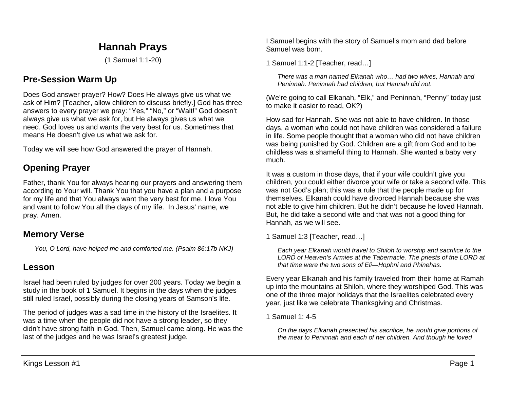# **Hannah Prays**

(1 Samuel 1:1-20)

## **Pre-Session Warm Up**

Does God answer prayer? How? Does He always give us what we ask of Him? [Teacher, allow children to discuss briefly.] God has three answers to every prayer we pray: "Yes," "No," or "Wait!" God doesn't always give us what we ask for, but He always gives us what we need. God loves us and wants the very best for us. Sometimes that means He doesn't give us what we ask for.

Today we will see how God answered the prayer of Hannah.

## **Opening Prayer**

Father, thank You for always hearing our prayers and answering them according to Your will. Thank You that you have a plan and a purpose for my life and that You always want the very best for me. I love You and want to follow You all the days of my life. In Jesus' name, we pray. Amen.

### **Memory Verse**

*You, O Lord, have helped me and comforted me. (Psalm 86:17b NKJ)*

## **Lesson**

Israel had been ruled by judges for over 200 years. Today we begin a study in the book of 1 Samuel. It begins in the days when the judges still ruled Israel, possibly during the closing years of Samson's life.

The period of judges was a sad time in the history of the Israelites. It was a time when the people did not have a strong leader, so they didn't have strong faith in God. Then, Samuel came along. He was the last of the judges and he was Israel's greatest judge.

I Samuel begins with the story of Samuel's mom and dad before Samuel was born.

1 Samuel 1:1-2 [Teacher, read…]

*There was a man named Elkanah who… had two wives, Hannah and Peninnah. Peninnah had children, but Hannah did not.* 

(We're going to call Elkanah, "Elk," and Peninnah, "Penny" today just to make it easier to read, OK?)

How sad for Hannah. She was not able to have children. In those days, a woman who could not have children was considered a failure in life. Some people thought that a woman who did not have children was being punished by God. Children are a gift from God and to be childless was a shameful thing to Hannah. She wanted a baby very much.

It was a custom in those days, that if your wife couldn't give you children, you could either divorce your wife or take a second wife. This was not God's plan; this was a rule that the people made up for themselves. Elkanah could have divorced Hannah because she was not able to give him children. But he didn't because he loved Hannah. But, he did take a second wife and that was not a good thing for Hannah, as we will see.

1 Samuel 1:3 [Teacher, read…]

*Each year Elkanah would travel to Shiloh to worship and sacrifice to the LORD of Heaven's Armies at the Tabernacle. The priests of the LORD at that time were the two sons of Eli—Hophni and Phinehas.* 

Every year Elkanah and his family traveled from their home at Ramah up into the mountains at Shiloh, where they worshiped God. This was one of the three major holidays that the Israelites celebrated every year, just like we celebrate Thanksgiving and Christmas.

1 Samuel 1: 4-5

*On the days Elkanah presented his sacrifice, he would give portions of the meat to Peninnah and each of her children. And though he loved*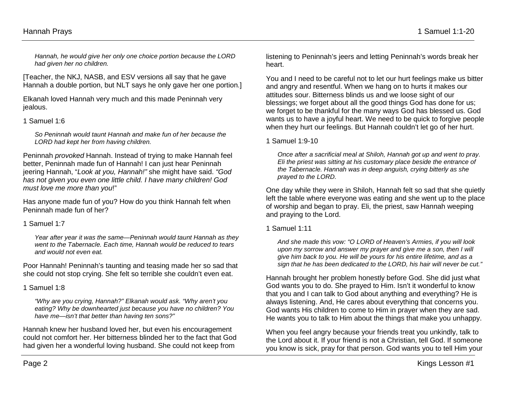*Hannah, he would give her only one choice portion because the LORD had given her no children.* 

[Teacher, the NKJ, NASB, and ESV versions all say that he gave Hannah a double portion, but NLT says he only gave her one portion.]

Elkanah loved Hannah very much and this made Peninnah very jealous.

### 1 Samuel 1:6

*So Peninnah would taunt Hannah and make fun of her because the LORD had kept her from having children.*

Peninnah *provoked* Hannah. Instead of trying to make Hannah feel better, Peninnah made fun of Hannah! I can just hear Peninnah jeering Hannah, "*Look at you, Hannah!"* she might have said. *"God has not given you even one little child. I have many children! God must love me more than you*!"

Has anyone made fun of you? How do you think Hannah felt when Peninnah made fun of her?

1 Samuel 1:7

*Year after year it was the same—Peninnah would taunt Hannah as they went to the Tabernacle. Each time, Hannah would be reduced to tears and would not even eat.* 

Poor Hannah! Peninnah's taunting and teasing made her so sad that she could not stop crying. She felt so terrible she couldn't even eat.

#### 1 Samuel 1:8

*"Why are you crying, Hannah?" Elkanah would ask. "Why aren't you eating? Why be downhearted just because you have no children? You have me—isn't that better than having ten sons?"*

Hannah knew her husband loved her, but even his encouragement could not comfort her. Her bitterness blinded her to the fact that God had given her a wonderful loving husband. She could not keep from

listening to Peninnah's jeers and letting Peninnah's words break her heart.

You and I need to be careful not to let our hurt feelings make us bitter and angry and resentful. When we hang on to hurts it makes our attitudes sour. Bitterness blinds us and we loose sight of our blessings; we forget about all the good things God has done for us; we forget to be thankful for the many ways God has blessed us. God wants us to have a joyful heart. We need to be quick to forgive people when they hurt our feelings. But Hannah couldn't let go of her hurt.

1 Samuel 1:9-10

*Once after a sacrificial meal at Shiloh, Hannah got up and went to pray. Eli the priest was sitting at his customary place beside the entrance of the Tabernacle. Hannah was in deep anguish, crying bitterly as she prayed to the LORD.* 

One day while they were in Shiloh, Hannah felt so sad that she quietly left the table where everyone was eating and she went up to the place of worship and began to pray. Eli, the priest, saw Hannah weeping and praying to the Lord.

### 1 Samuel 1:11

*And she made this vow: "O LORD of Heaven's Armies, if you will look upon my sorrow and answer my prayer and give me a son, then I will give him back to you. He will be yours for his entire lifetime, and as a sign that he has been dedicated to the LORD, his hair will never be cut."* 

Hannah brought her problem honestly before God. She did just what God wants you to do. She prayed to Him. Isn't it wonderful to know that you and I can talk to God about anything and everything? He is always listening. And, He cares about everything that concerns you. God wants His children to come to Him in prayer when they are sad. He wants you to talk to Him about the things that make you unhappy.

When you feel angry because your friends treat you unkindly, talk to the Lord about it. If your friend is not a Christian, tell God. If someone you know is sick, pray for that person. God wants you to tell Him your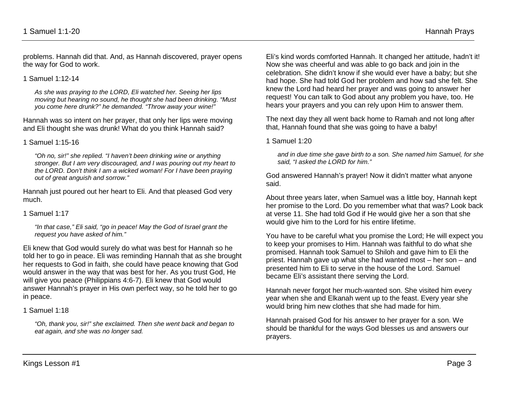problems. Hannah did that. And, as Hannah discovered, prayer opens the way for God to work.

1 Samuel 1:12-14

*As she was praying to the LORD, Eli watched her. Seeing her lips moving but hearing no sound, he thought she had been drinking. "Must you come here drunk?" he demanded. "Throw away your wine!"* 

Hannah was so intent on her prayer, that only her lips were moving and Eli thought she was drunk! What do you think Hannah said?

1 Samuel 1:15-16

*"Oh no, sir!" she replied. "I haven't been drinking wine or anything stronger. But I am very discouraged, and I was pouring out my heart to the LORD. Don't think I am a wicked woman! For I have been praying out of great anguish and sorrow."* 

Hannah just poured out her heart to Eli. And that pleased God very much.

1 Samuel 1:17

*"In that case," Eli said, "go in peace! May the God of Israel grant the request you have asked of him."*

Eli knew that God would surely do what was best for Hannah so he told her to go in peace. Eli was reminding Hannah that as she brought her requests to God in faith, she could have peace knowing that God would answer in the way that was best for her. As you trust God, He will give you peace (Philippians 4:6-7). Eli knew that God would answer Hannah's prayer in His own perfect way, so he told her to go in peace.

1 Samuel 1:18

*"Oh, thank you, sir!" she exclaimed. Then she went back and began to eat again, and she was no longer sad.*

Eli's kind words comforted Hannah. It changed her attitude, hadn't it! Now she was cheerful and was able to go back and join in the celebration. She didn't know if she would ever have a baby; but she had hope. She had told God her problem and how sad she felt. She knew the Lord had heard her prayer and was going to answer her request! You can talk to God about any problem you have, too. He hears your prayers and you can rely upon Him to answer them.

The next day they all went back home to Ramah and not long after that, Hannah found that she was going to have a baby!

1 Samuel 1:20

*and in due time she gave birth to a son. She named him Samuel, for she said, "I asked the LORD for him."*

God answered Hannah's prayer! Now it didn't matter what anyone said.

About three years later, when Samuel was a little boy, Hannah kept her promise to the Lord. Do you remember what that was? Look back at verse 11. She had told God if He would give her a son that she would give him to the Lord for his entire lifetime.

You have to be careful what you promise the Lord; He will expect you to keep your promises to Him. Hannah was faithful to do what she promised. Hannah took Samuel to Shiloh and gave him to Eli the priest. Hannah gave up what she had wanted most – her son – and presented him to Eli to serve in the house of the Lord. Samuel became Eli's assistant there serving the Lord.

Hannah never forgot her much-wanted son. She visited him every year when she and Elkanah went up to the feast. Every year she would bring him new clothes that she had made for him.

Hannah praised God for his answer to her prayer for a son. We should be thankful for the ways God blesses us and answers our prayers.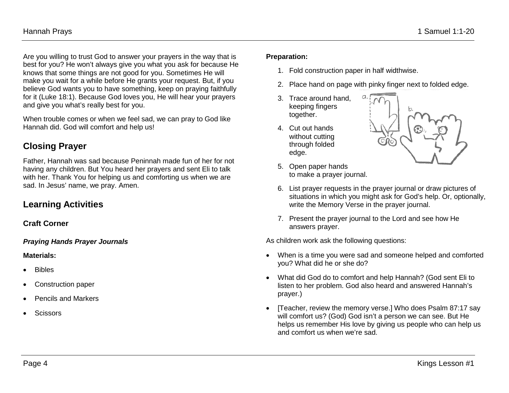Are you willing to trust God to answer your prayers in the way that is best for you? He won't always give you what you ask for because He knows that some things are not good for you. Sometimes He will make you wait for a while before He grants your request. But, if you believe God wants you to have something, keep on praying faithfully for it (Luke 18:1). Because God loves you, He will hear your prayers and give you what's really best for you.

When trouble comes or when we feel sad, we can pray to God like Hannah did. God will comfort and help us!

## **Closing Prayer**

Father, Hannah was sad because Peninnah made fun of her for not having any children. But You heard her prayers and sent Eli to talk with her. Thank You for helping us and comforting us when we are sad. In Jesus' name, we pray. Amen.

## **Learning Activities**

#### **Craft Corner**

#### *Praying Hands Prayer Journals*

#### **Materials:**

- Bibles
- Construction paper
- Pencils and Markers
- **Scissors**

#### **Preparation:**

- 1. Fold construction paper in half widthwise.
- 2. Place hand on page with pinky finger next to folded edge.
- 3. Trace around hand, keeping fingers together.
- 4. Cut out hands without cutting through folded edge.



- 5. Open paper hands to make a prayer journal.
- 6. List prayer requests in the prayer journal or draw pictures of situations in which you might ask for God's help. Or, optionally, write the Memory Verse in the prayer journal.
- 7. Present the prayer journal to the Lord and see how He answers prayer.

As children work ask the following questions:

- When is a time you were sad and someone helped and comforted you? What did he or she do?
- What did God do to comfort and help Hannah? (God sent Eli to listen to her problem. God also heard and answered Hannah's prayer.)
- [Teacher, review the memory verse.] Who does Psalm 87:17 say will comfort us? (God) God isn't a person we can see. But He helps us remember His love by giving us people who can help us and comfort us when we're sad.